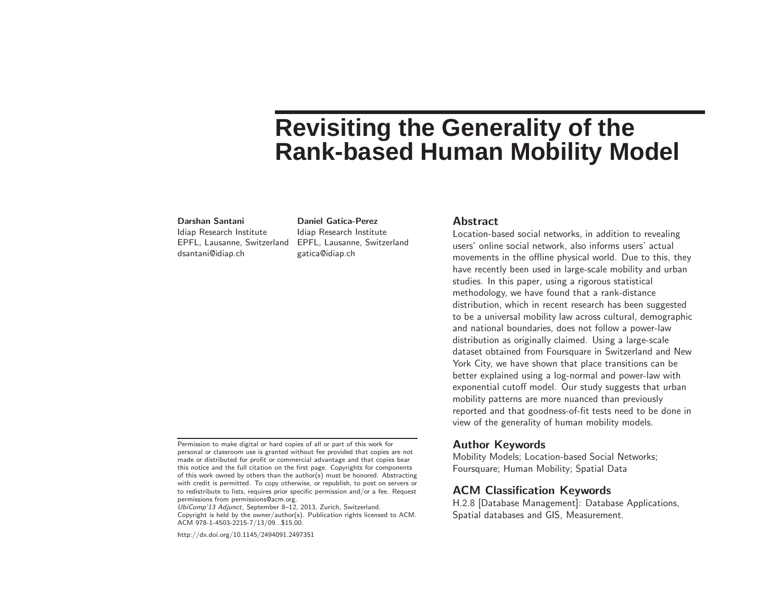# **Revisiting the Generality of the Rank-based Human Mobility Model**

#### Darshan Santani

Idiap Research Institute dsantani@idiap.ch

EPFL, Lausanne, Switzerland EPFL, Lausanne, Switzerland Daniel Gatica-Perez Idiap Research Institute gatica@idiap.ch

#### **Abstract**

Location-based social networks, in addition to revealing users' online social network, also informs users' actual movements in the offline physical world. Due to this, they have recently been used in large-scale mobility and urban studies. In this paper, using <sup>a</sup> rigorous statistical methodology, we have found that <sup>a</sup> rank-distance distribution, which in recent research has been suggested to be <sup>a</sup> universal mobility law across cultural, demographic and national boundaries, does not follow a power-law distribution as originally claimed. Using <sup>a</sup> large-scale dataset obtained from Foursquare in Switzerland and New York City, we have shown that place transitions can be better explained using a log-normal and power-law with exponential cutoff model. Our study suggests that urban mobility patterns are more nuanced than previously reported and that goodness-of-fit tests need to be done in view of the generality of human mobility models.

## Author Keywords

Mobility Models; Location-based Social Networks; Foursquare; Human Mobility; Spatial Data

# ACM Classification Keywords

H.2.8 [Database Management]: Database Applications, Spatial databases and GIS, Measurement.

UbiComp'13 Adjunct, September 8–12, 2013, Zurich, Switzerland. Copyright is held by the owner/author(s). Publication rights licensed to ACM. ACM 978-1-4503-2215-7/13/09...\$15.00.

http://dx.doi.org/10.1145/2494091.2497351

Permission to make digital or hard copies of all or part of this work for personal or classroom use is granted without fee provided that copies are not made or distributed for profit or commercial advantage and that copies bear this notice and the full citation on the first page. Copyrights for components of this work owned by others than the author(s) must be honored. Abstracting with credit is permitted. To copy otherwise, or republish, to post on servers or to redistribute to lists, requires prior specific permission and/or <sup>a</sup> fee. Request permissions from permissions@acm.org.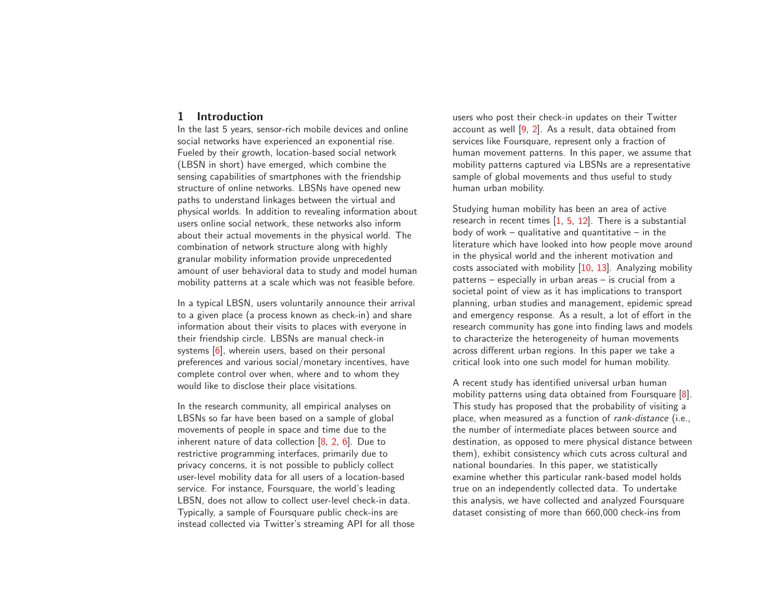## 1 Introduction

In the last 5 years, sensor-rich mobile devices and online social networks have experienced an exponential rise. Fueled by their growth, location-based social network (LBSN in short) have emerged, which combine the sensing capabilities of smartphones with the friendship structure of online networks. LBSNs have opened new paths to understand linkages between the virtual and physical worlds. In addition to revealing information about users online social network, these networks also inform about their actual movements in the physical world. The combination of network structure along with highly granular mobility information provide unprecedented amount of user behavioral data to study and model human mobility patterns at <sup>a</sup> scale which was not feasible before.

In <sup>a</sup> typical LBSN, users voluntarily announce their arrival to <sup>a</sup> <sup>g</sup>iven place (a process known as check-in) and share information about their visits to places with everyone in their friendship circle. LBSNs are manual check-in systems [\[6\]](#page-8-0), wherein users, based on their personal preferences and various social/monetary incentives, have complete control over when, where and to whom they would like to disclose their place visitations.

<span id="page-1-0"></span>In the research community, all empirical analyses on LBSNs so far have been based on <sup>a</sup> sample of global movements of people in space and time due to the inherent nature of data collection [\[8](#page-8-1), [2](#page-8-2), [6\]](#page-8-0). Due to restrictive programming interfaces, primarily due to privacy concerns, it is not possible to publicly collect user-level mobility data for all users of a location-based service. For instance, Foursquare, the world's leading LBSN, does not allow to collect user-level check-in data. Typically, <sup>a</sup> sample of Foursquare public check-ins are instead collected via Twitter's streaming API for all those

users who post their check-in updates on their Twitter account as well [\[9,](#page-8-3) [2\]](#page-8-2). As <sup>a</sup> result, data obtained from services like Foursquare, represent only <sup>a</sup> fraction of human movement patterns. In this paper, we assume that mobility patterns captured via LBSNs are <sup>a</sup> representative sample of global movements and thus useful to study human urban mobility.

Studying human mobility has been an area of active research in recent times  $\begin{bmatrix} 1, 5, 12 \end{bmatrix}$  $\begin{bmatrix} 1, 5, 12 \end{bmatrix}$  $\begin{bmatrix} 1, 5, 12 \end{bmatrix}$ . There is a substantial body of work  $-$  qualitative and quantitative  $-$  in the literature which have looked into how people move around in the physical world and the inherent motivation and costs associated with mobility [\[10](#page-8-7), [13\]](#page-8-8). Analyzing mobility patterns – especially in urban areas – is crucial from <sup>a</sup> societal point of view as it has implications to transport planning, urban studies and management, epidemic spread and emergency response. As <sup>a</sup> result, <sup>a</sup> lot of effort in the research community has gone into finding laws and models to characterize the heterogeneity of human movements across different urban regions. In this paper we take a critical look into one such model for human mobility.

A recent study has identified universal urban human mobility patterns using data obtained from Foursquare [\[8\]](#page-8-1). This study has proposed that the probability of visiting a place, when measured as <sup>a</sup> function of rank-distance (i.e., the number of intermediate places between source and destination, as opposed to mere physical distance between them), exhibit consistency which cuts across cultural and national boundaries. In this paper, we statistically examine whether this particular rank-based model holds true on an independently collected data. To undertake this analysis, we have collected and analyzed Foursquare dataset consisting of more than 660,000 check-ins from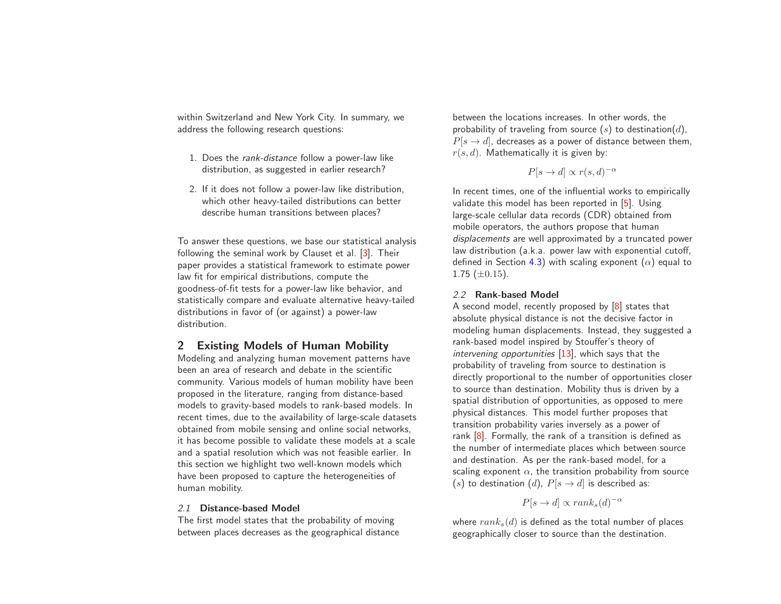within Switzerland and New York City. In summary, we address the following research questions:

- 1. Does the rank-distance follow <sup>a</sup> power-law like distribution, as suggested in earlier research?
- 2. If it does not follow <sup>a</sup> power-law like distribution, which other heavy-tailed distributions can better describe human transitions between places?

To answer these questions, we base our statistical analysis following the seminal work by Clauset et al. [\[3\]](#page-8-9). Their paper provides <sup>a</sup> statistical framework to estimate power law fit for empirical distributions, compute the goodness-of-fit tests for a power-law like behavior, and statistically compare and evaluate alternative heavy-tailed distributions in favor of (or against) a power-law distribution.

# 2 Existing Models of Human Mobility

Modeling and analyzing human movement patterns have been an area of research and debate in the scientific community. Various models of human mobility have been proposed in the literature, ranging from distance-based models to gravity-based models to rank-based models. In recent times, due to the availability of large-scale datasets obtained from mobile sensing and online social networks, it has become possible to validate these models at <sup>a</sup> scale and a spatial resolution which was not feasible earlier. In this section we highlight two well-known models which have been proposed to capture the heterogeneities of human mobility.

#### 2.1 Distance-based Model

The first model states that the probability of moving between places decreases as the geographical distance between the locations increases. In other words, the probability of traveling from source  $(s)$  to destination $(d)$ ,  $P[s \rightarrow d]$ , decreases as a power of distance between them,  $r(s, d)$ . Mathematically it is given by:

$$
P[s \to d] \propto r(s, d)^{-\alpha}
$$

In recent times, one of the influential works to empirically validate this model has been reported in [\[5\]](#page-8-5). Using large-scale cellular data records (CDR) obtained from mobile operators, the authors propose that human displacements are well approximated by <sup>a</sup> truncated power law distribution (a.k.a. power law with exponential cutoff, defined in Section [4.3\)](#page-6-0) with scaling exponent  $(\alpha)$  equal to 1.75  $(\pm 0.15)$ .

## 2.2 Rank-based Model

<sup>A</sup> second model, recently proposed by [\[8\]](#page-8-1) states that absolute physical distance is not the decisive factor in modeling human displacements. Instead, they suggested a rank-based model inspired by Stouffer's theory of intervening opportunities  $[13]$ , which says that the probability of traveling from source to destination is directly proportional to the number of opportunities closer to source than destination. Mobility thus is driven by a spatial distribution of opportunities, as opposed to mere physical distances. This model further proposes that transition probability varies inversely as <sup>a</sup> power of rank [\[8\]](#page-8-1). Formally, the rank of <sup>a</sup> transition is defined as the number of intermediate places which between source and destination. As per the rank-based model, for a scaling exponent  $\alpha$ , the transition probability from source (s) to destination (d),  $P[s \rightarrow d]$  is described as:

<span id="page-2-0"></span>
$$
P[s \to d] \propto rank_s(d)^{-\alpha}
$$

where  $rank<sub>s</sub>(d)$  is defined as the total number of places geographically closer to source than the destination.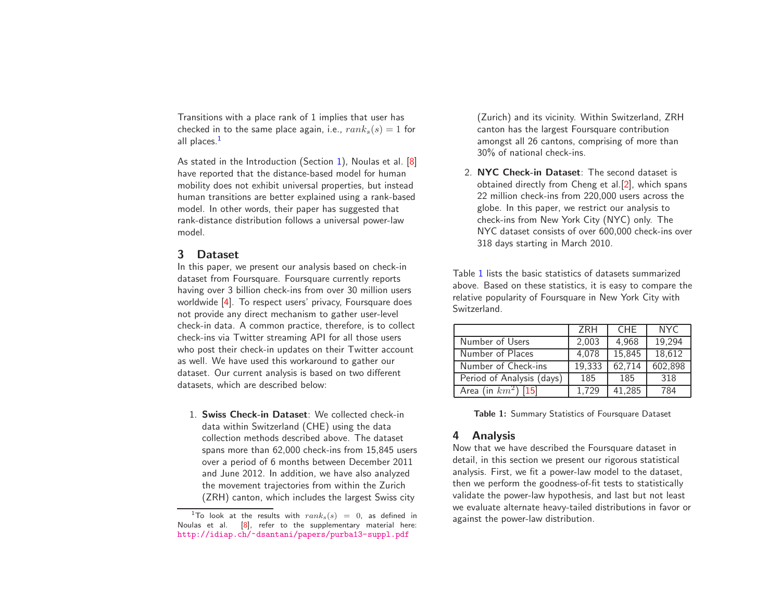Transitions with <sup>a</sup> place rank of 1 implies that user has checked in to the same place again, i.e.,  $rank_s(s) = 1$  for all places. $<sup>1</sup>$  $<sup>1</sup>$  $<sup>1</sup>$ </sup>

As stated in the Introduction (Section [1\)](#page-1-0), Noulas et al. [\[8\]](#page-8-1) have reported that the distance-based model for human mobility does not exhibit universal properties, but instead human transitions are better explained using a rank-based model. In other words, their paper has suggested that rank-distance distribution follows a universal power-law model.

# 3 Dataset

In this paper, we present our analysis based on check-in dataset from Foursquare. Foursquare currently reports having over 3 billion check-ins from over 30 million users worldwide [\[4\]](#page-8-10). To respect users' privacy, Foursquare does not provide any direct mechanism to gather user-level check-in data. A common practice, therefore, is to collect check-ins via Twitter streaming API for all those users who post their check-in updates on their Twitter account as well. We have used this workaround to gather our dataset. Our current analysis is based on two different datasets, which are described below:

1. Swiss Check-in Dataset: We collected check-in data within Switzerland (CHE) using the data collection methods described above. The dataset spans more than 62,000 check-ins from 15,845 users over a period of 6 months between December 2011 and June 2012. In addition, we have also analyzed the movement trajectories from within the Zurich (ZRH) canton, which includes the largest Swiss city

<span id="page-3-1"></span>(Zurich) and its vicinity. Within Switzerland, ZRH canton has the largest Foursquare contribution amongst all 26 cantons, comprising of more than 30% of national check-ins.

2. NYC Check-in Dataset: The second dataset is obtained directly from Cheng et al.[\[2\]](#page-8-2), which spans 22 million check-ins from 220,000 users across the globe. In this paper, we restrict our analysis to check-ins from New York City (NYC) only. The NYC dataset consists of over 600,000 check-ins over 318 days starting in March 2010.

Table [1](#page-3-1) lists the basic statistics of datasets summarized above. Based on these statistics, it is easy to compare the relative popularity of Foursquare in New York City with Switzerland.

|                                   | 7RH    | <b>CHF</b> | NYC.    |
|-----------------------------------|--------|------------|---------|
| Number of Users                   | 2,003  | 4,968      | 19,294  |
| Number of Places                  | 4,078  | 15,845     | 18,612  |
| Number of Check-ins               | 19,333 | 62,714     | 602,898 |
| Period of Analysis (days)         | 185    | 185        | 318     |
| Area (in $\overline{km^2}$ ) [15] | 1.729  | 41.285     | 784     |

<span id="page-3-0"></span>Table 1: Summary Statistics of Foursquare Dataset

# 4 Analysis

Now that we have described the Foursquare dataset in detail, in this section we present our rigorous statistical analysis. First, we fit <sup>a</sup> power-law model to the dataset, then we perform the goodness-of-fit tests to statistically validate the power-law hypothesis, and last but not least we evaluate alternate heavy-tailed distributions in favor or against the power-law distribution.

<sup>&</sup>lt;sup>1</sup>To look at the results with  $rank_s(s) = 0$ , as defined in Noulas et al. [\[8\]](#page-8-1), refer to the supplementary material here: <http://idiap.ch/~dsantani/papers/purba13-suppl.pdf>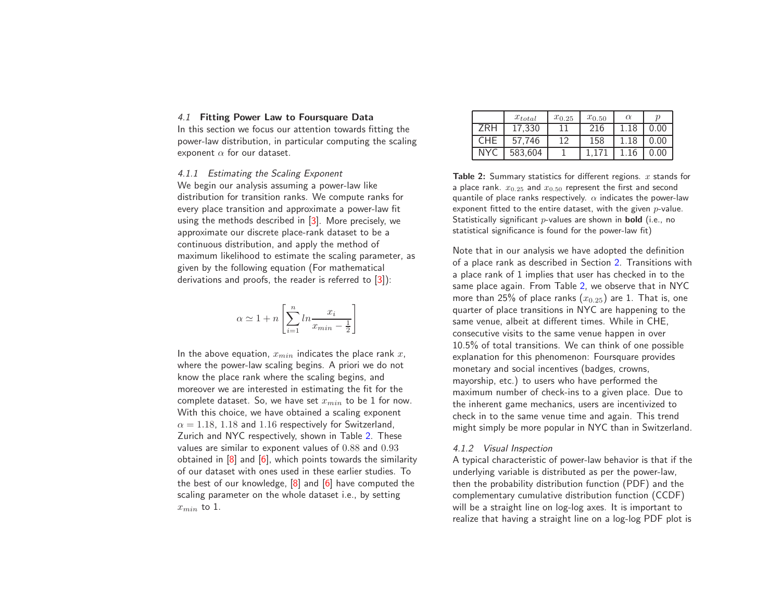### 4.1 Fitting Power Law to Foursquare Data

In this section we focus our attention towards fitting the power-law distribution, in particular computing the scaling exponent  $\alpha$  for our dataset.

4.1.1 Estimating the Scaling Exponent

We begin our analysis assuming <sup>a</sup> power-law like distribution for transition ranks. We compute ranks for every place transition and approximate <sup>a</sup> power-law fit using the methods described in [\[3\]](#page-8-9). More precisely, we approximate our discrete place-rank dataset to be a continuous distribution, and apply the method of maximum likelihood to estimate the scaling parameter, as <sup>g</sup>iven by the following equation (For mathematical derivations and proofs, the reader is referred to [\[3\]](#page-8-9)):

$$
\alpha \simeq 1 + n \left[ \sum_{i=1}^{n} \ln \frac{x_i}{x_{min} - \frac{1}{2}} \right]
$$

<span id="page-4-2"></span>In the above equation,  $x_{min}$  indicates the place rank  $x_{\cdot}$ where the power-law scaling begins. A priori we do not know the place rank where the scaling begins, and moreover we are interested in estimating the fit for the complete dataset. So, we have set  $x_{min}$  to be 1 for now. With this choice, we have obtained <sup>a</sup> scaling exponent  $\alpha = 1.18$ , 1.18 and 1.16 respectively for Switzerland, Zurich and NYC respectively, shown in Table [2.](#page-4-0) These values are similar to exponent values of 0.88 and 0.93 obtained in [\[8\]](#page-8-1) and [\[6\]](#page-8-0), which points towards the similarity of our dataset with ones used in these earlier studies. To the best of our knowledge, [\[8\]](#page-8-1) and [\[6\]](#page-8-0) have computed the scaling parameter on the whole dataset i.e., by setting  $x_{min}$  to 1.

|     | $x_{total}$ | $x_{0.25}$ | $x_{0.50}$ | $\alpha$ | п    |
|-----|-------------|------------|------------|----------|------|
| ZRH | 17,330      |            | 216        | 1.18     | 0.00 |
| CHE | 57.746      | 12         | 158        | 1.18     | 0.00 |
| NYC | 583,604     |            |            |          | 0.00 |

<span id="page-4-0"></span>**Table 2:** Summary statistics for different regions.  $x$  stands for a place rank.  $x_{0.25}$  and  $x_{0.50}$  represent the first and second quantile of place ranks respectively.  $\alpha$  indicates the power-law exponent fitted to the entire dataset, with the given  $p\text{-value}.$ Statistically significant  $p$ -values are shown in  $\bm{\mathrm{bold}}$  (i.e., no statistical significance is found for the power-law fit)

Note that in our analysis we have adopted the definition of a place rank as described in Section [2.](#page-2-0) Transitions with <sup>a</sup> place rank of 1 implies that user has checked in to the same place again. From Table [2](#page-4-0), we observe that in NYC more than 25% of place ranks  $\left(x_{0.25}\right)$  are 1. That is, one quarter of place transitions in NYC are happening to the same venue, albeit at different times. While in CHE, consecutive visits to the same venue happen in over 10.5% of total transitions. We can think of one possible explanation for this phenomenon: Foursquare provides monetary and social incentives (badges, crowns, mayorship, etc.) to users who have performed the maximum number of check-ins to a given place. Due to the inherent game mechanics, users are incentivized to check in to the same venue time and again. This trend might simply be more popular in NYC than in Switzerland.

## <span id="page-4-1"></span>4.1.2 Visual Inspection

A typical characteristic of power-law behavior is that if the underlying variable is distributed as per the power-law, then the probability distribution function (PDF) and the complementary cumulative distribution function (CCDF) will be a straight line on log-log axes. It is important to realize that having a straight line on a log-log PDF plot is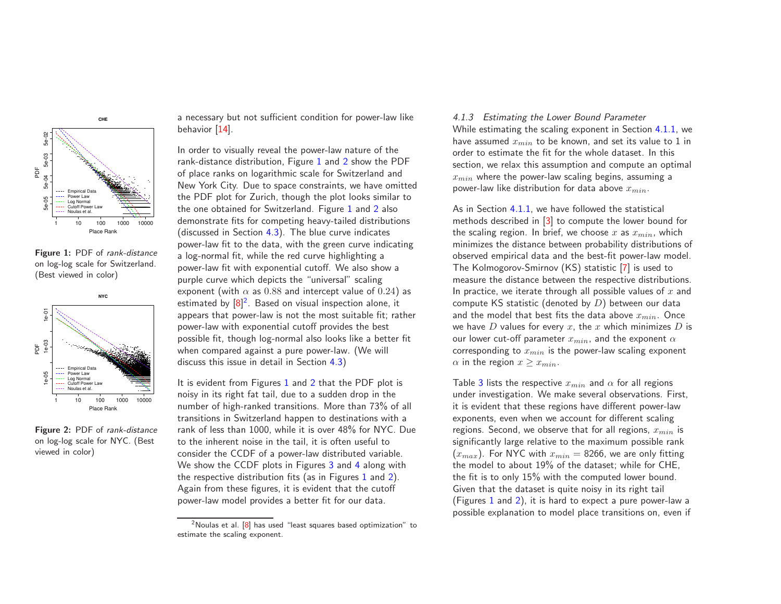

Figure 1: PDF of rank-distance on log-log scale for Switzerland. (Best viewed in color)



Figure 2: PDF of rank-distance on log-log scale for NYC. (Best viewed in color)

<sup>a</sup> necessary but not sufficient condition for power-law like behavior [\[14\]](#page-8-12).

<span id="page-5-3"></span>In order to visually reveal the power-law nature of the rank-distance distribution, Figure [1](#page-5-0) and [2](#page-5-1) show the PDF of place ranks on logarithmic scale for Switzerland and New York City. Due to space constraints, we have omitted the PDF plot for Zurich, though the plot looks similar to the one obtained for Switzerland. Figure [1](#page-5-0) and [2](#page-5-1) also demonstrate fits for competing heavy-tailed distributions (discussed in Section [4.3\)](#page-6-0). The blue curve indicates power-law fit to the data, with the green curve indicating a log-normal fit, while the red curve highlighting a power-law fit with exponential cutoff. We also show a purple curve which depicts the "universal" scaling exponent (with  $\alpha$  as 0.88 and intercept value of 0.24) as estimated by  $[8]^2$  $[8]^2$  $[8]^2$ . Based on visual inspection alone, it appears that power-law is not the most suitable fit; rather power-law with exponential cutoff provides the best possible fit, though log-normal also looks like <sup>a</sup> better fit when compared against <sup>a</sup> pure power-law. (We will discuss this issue in detail in Section [4.3\)](#page-6-0)

It is evident from Figures [1](#page-5-0) and [2](#page-5-1) that the PDF plot is noisy in its right fat tail, due to <sup>a</sup> sudden drop in the number of high-ranked transitions. More than 73% of all transitions in Switzerland happen to destinations with a rank of less than 1000, while it is over 48% for NYC. Due to the inherent noise in the tail, it is often useful to consider the CCDF of <sup>a</sup> power-law distributed variable. We show the CCDF plots in Figures [3](#page-6-1) and [4](#page-6-2) along with the respective distribution fits (as in Figures [1](#page-5-0) and [2\)](#page-5-1). Again from these figures, it is evident that the cutoff power-law model provides <sup>a</sup> better fit for our data.

### 4.1.3 Estimating the Lower Bound Parameter

While estimating the scaling exponent in Section [4.1.1](#page-4-1), we have assumed  $x_{min}$  to be known, and set its value to 1 in order to estimate the fit for the whole dataset. In this section, we relax this assumption and compute an optimal  $x_{min}$  where the power-law scaling begins, assuming a power-law like distribution for data above  $x_{min}$ .

As in Section [4.1.1,](#page-4-1) we have followed the statistical methods described in [\[3\]](#page-8-9) to compute the lower bound for the scaling region. In brief, we choose x as  $x_{min}$ , which minimizes the distance between probability distributions of observed empirical data and the best-fit power-law model. The Kolmogorov-Smirnov (KS) statistic [\[7\]](#page-8-13) is used to measure the distance between the respective distributions. In practice, we iterate through all possible values of  $x$  and compute KS statistic (denoted by  $D$ ) between our data and the model that best fits the data above  $x_{min}$ . Once we have  $D$  values for every  $x$ , the  $x$  which minimizes  $D$  is our lower cut-off parameter  $x_{min}$ , and the exponent  $\alpha$ corresponding to  $x_{min}$  is the power-law scaling exponent  $\alpha$  in the region  $x > x_{min}$ .

<span id="page-5-2"></span><span id="page-5-1"></span><span id="page-5-0"></span>Table [3](#page-6-3) lists the respective  $x_{min}$  and  $\alpha$  for all regions under investigation. We make several observations. First, it is evident that these regions have different power-law exponents, even when we account for different scaling regions. Second, we observe that for all regions,  $x_{min}$  is significantly large relative to the maximum possible rank  $(x_{max})$ . For NYC with  $x_{min} = 8266$ , we are only fitting the model to about 19% of the dataset; while for CHE, the fit is to only 15% with the computed lower bound. Given that the dataset is quite noisy in its right tail (Figures [1](#page-5-0) and [2\)](#page-5-1), it is hard to expect <sup>a</sup> pure power-law <sup>a</sup> possible explanation to model place transitions on, even if

 $2$ Noulas et al. [\[8\]](#page-8-1) has used "least squares based optimization" to estimate the scaling exponent.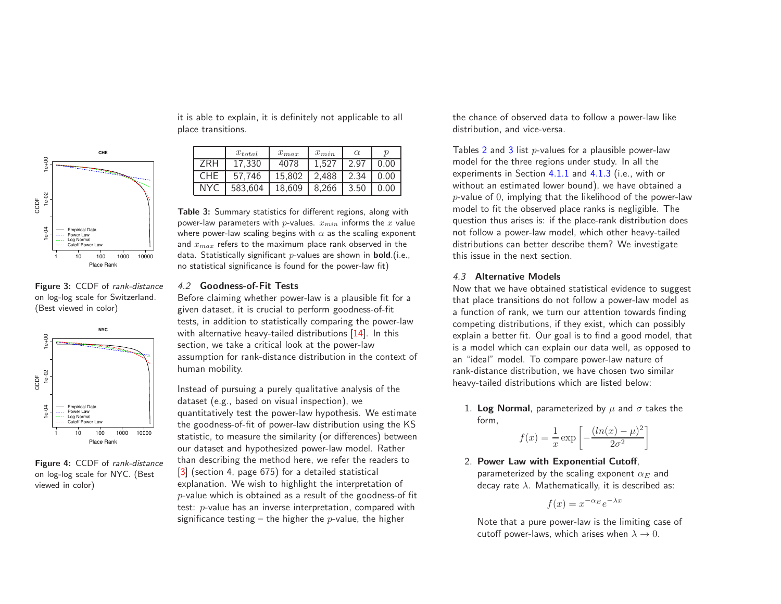

Figure 3: CCDF of rank-distance on log-log scale for Switzerland. (Best viewed in color)



Figure 4: CCDF of rank-distance on log-log scale for NYC. (Best viewed in color)

it is able to explain, it is definitely not applicable to all place transitions.

|            | $x_{total}$ | $x_{max}$ | $x_{min}$ | $\alpha$ |      |
|------------|-------------|-----------|-----------|----------|------|
| ZRH        | 17.330      | 4078      | 1.527     | 2.97     | 0.00 |
| <b>CHE</b> | 57.746      | 15.802    | 2,488     | 2.34     | 0.00 |
| <b>NYC</b> | 583.604     | 18.609    | 8.266     | 3.50     | 0.00 |

Table 3: Summary statistics for different regions, along with power-law parameters with *p*-values.  $x_{min}$  informs the x value where power-law scaling begins with  $\alpha$  as the scaling exponent and  $x_{max}$  refers to the maximum place rank observed in the data. Statistically significant  $p$ -values are shown in **bold**.(i.e., no statistical significance is found for the power-law fit)

## 4.2 Goodness-of-Fit Tests

Before claiming whether power-law is a plausible fit for a given dataset, it is crucial to perform goodness-of-fit tests, in addition to statistically comparing the power-law with alternative heavy-tailed distributions [\[14\]](#page-8-12). In this section, we take a critical look at the power-law assumption for rank-distance distribution in the context of human mobility.

Instead of pursuing <sup>a</sup> purely qualitative analysis of the dataset (e.g., based on visual inspection), we quantitatively test the power-law hypothesis. We estimate the goodness-of-fit of power-law distribution using the KS statistic, to measure the similarity (or differences) between our dataset and hypothesized power-law model. Rather than describing the method here, we refer the readers to [\[3\]](#page-8-9) (section 4, page 675) for a detailed statistical explanation. We wish to highlight the interpretation of  $p$ -value which is obtained as a result of the goodness-of fit test: p-value has an inverse interpretation, compared with significance testing – the higher the *p*-value, the higher

the chance of observed data to follow <sup>a</sup> power-law like distribution, and vice-versa.

<span id="page-6-0"></span>Tables [2](#page-4-0) and [3](#page-6-3) list  $p$ -values for a plausible power-law model for the three regions under study. In all the experiments in Section [4.1.1](#page-4-1) and [4.1.3](#page-5-3) (i.e., with or without an estimated lower bound), we have obtained a  $p$ -value of  $0$ , implying that the likelihood of the power-law model to fit the observed place ranks is negligible. The question thus arises is: if the place-rank distribution does not follow a power-law model, which other heavy-tailed distributions can better describe them? We investigate this issue in the next section.

# 4.3 Alternative Models

Now that we have obtained statistical evidence to suggest that place transitions do not follow <sup>a</sup> power-law model as a function of rank, we turn our attention towards finding competing distributions, if they exist, which can possibly explain <sup>a</sup> better fit. Our goal is to find <sup>a</sup> good model, that is a model which can explain our data well, as opposed to an "ideal" model. To compare power-law nature of rank-distance distribution, we have chosen two similar heavy-tailed distributions which are listed below:

<span id="page-6-4"></span><span id="page-6-3"></span>1. Log Normal, parameterized by  $\mu$  and  $\sigma$  takes the form,

$$
f(x) = \frac{1}{x} \exp\left[-\frac{(ln(x) - \mu)^2}{2\sigma^2}\right]
$$

2. Power Law with Exponential Cutoff, parameterized by the scaling exponent  $\alpha_E$  and decay rate  $\lambda$ . Mathematically, it is described as:

<span id="page-6-2"></span>
$$
f(x) = x^{-\alpha_E} e^{-\lambda x}
$$

<span id="page-6-1"></span>Note that <sup>a</sup> pure power-law is the limiting case of cutoff power-laws, which arises when  $\lambda \to 0$ .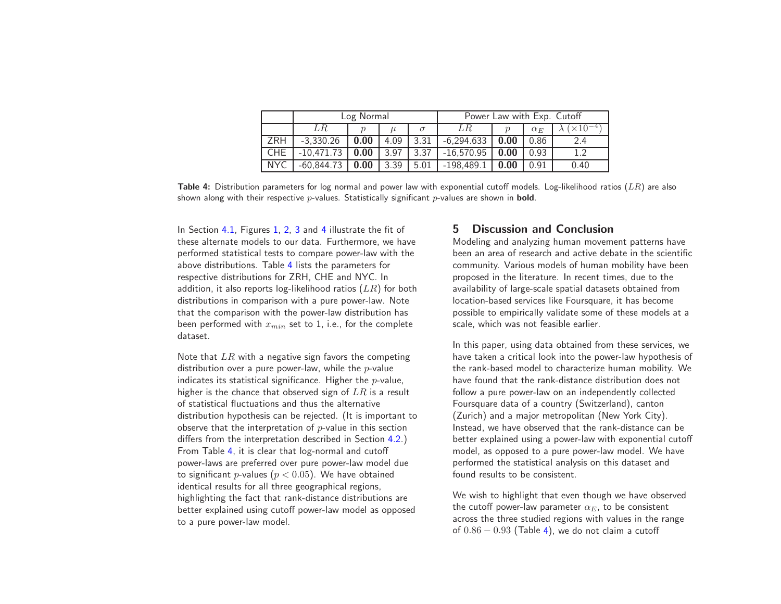|            | Log Normal   |      |      |      | Power Law with Exp. Cutoff |      |            |                  |
|------------|--------------|------|------|------|----------------------------|------|------------|------------------|
|            | LR           |      |      |      | LR                         |      | $\alpha_F$ | $\times 10^{-4}$ |
| ZRH        | $-3.330.26$  | 0.00 | 4.09 | 3.31 | $-6.294.633$               | 0.00 | 0.86       | 2.4              |
| <b>CHE</b> | $-10,471.73$ | 0.00 | 3.97 | 3.37 | $-16,570.95$               | 0.00 | 0.93       | 1 າ              |
| <b>NYC</b> | $-60.844.73$ | 0.00 | 3.39 | 5.01 | $-198,489.1$               | 0.00 | 0.91       | 0.40             |

Table 4: Distribution parameters for log normal and power law with exponential cutoff models. Log-likelihood ratios  $(LR)$  are also shown along with their respective  $p$ -values. Statistically significant  $p$ -values are shown in **bold**.

In Section [4.1,](#page-4-2) Figures [1,](#page-5-0) [2](#page-5-1), [3](#page-6-1) and [4](#page-6-2) illustrate the fit of these alternate models to our data. Furthermore, we have performed statistical tests to compare power-law with the above distributions. Table [4](#page-7-0) lists the parameters for respective distributions for ZRH, CHE and NYC. In addition, it also reports log-likelihood ratios  $(LR)$  for both distributions in comparison with <sup>a</sup> pure power-law. Note that the comparison with the power-law distribution has been performed with  $x_{min}$  set to 1, i.e., for the complete dataset.

<span id="page-7-0"></span>Note that  $LR$  with a negative sign favors the competing distribution over a pure power-law, while the  $p$ -value indicates its statistical significance. Higher the  $p$ -value, higher is the chance that observed sign of  $LR$  is a result of statistical fluctuations and thus the alternative distribution hypothesis can be rejected. (It is important to observe that the interpretation of  $p$ -value in this section differs from the interpretation described in Section [4.2](#page-6-4).) From Table [4](#page-7-0), it is clear that log-normal and cutoff power-laws are preferred over pure power-law model due to significant *p*-values ( $p < 0.05$ ). We have obtained identical results for all three geographical regions, highlighting the fact that rank-distance distributions are better explained using cutoff power-law model as opposed to <sup>a</sup> pure power-law model.

# 5 Discussion and Conclusion

Modeling and analyzing human movement patterns have been an area of research and active debate in the scientific community. Various models of human mobility have been proposed in the literature. In recent times, due to the availability of large-scale spatial datasets obtained from location-based services like Foursquare, it has become possible to empirically validate some of these models at a scale, which was not feasible earlier.

In this paper, using data obtained from these services, we have taken <sup>a</sup> critical look into the power-law hypothesis of the rank-based model to characterize human mobility. We have found that the rank-distance distribution does not follow a pure power-law on an independently collected Foursquare data of a country (Switzerland), canton (Zurich) and <sup>a</sup> major metropolitan (New York City). Instead, we have observed that the rank-distance can be better explained using a power-law with exponential cutoff model, as opposed to <sup>a</sup> pure power-law model. We have performed the statistical analysis on this dataset and found results to be consistent.

We wish to highlight that even though we have observed the cutoff power-law parameter  $\alpha_E$ , to be consistent across the three studied regions with values in the range of  $0.86 - 0.93$  (Table [4\)](#page-7-0), we do not claim a cutoff